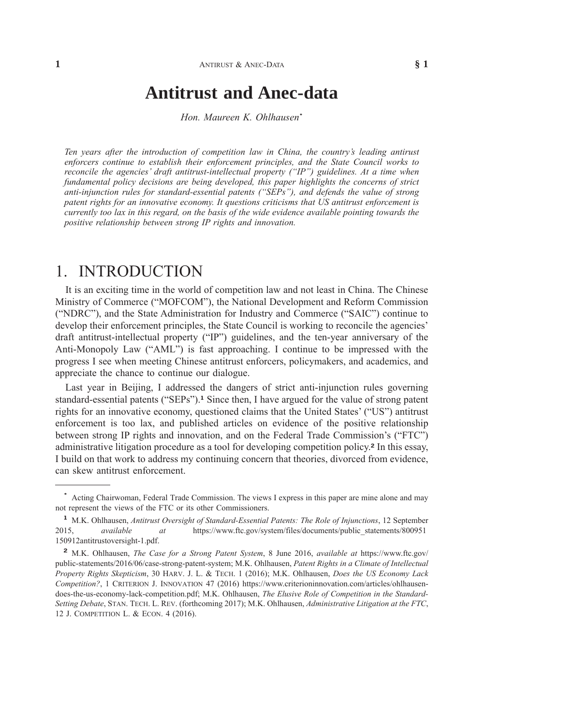# **Antitrust and [Anec-data](xpath-> core:title,  tr:ch/core:title,  desig_title,  style_01)**

*Hon. Maureen K. [Ohlhausen](xpath-> core:byline,  core:byline,  byline,  style_01)***\***

*Ten years after the [introduction](xpath-> core:para,  core:abstract/core:para,  abstract,  style_01) of competition law in China, the country's leading antirust enforcers continue to establish their [enforcement](xpath-> core:para,  core:abstract/core:para,  abstract,  style_01) principles, and the State Council works to reconcile the agencies' draft [antitrust-intellectual](xpath-> core:para,  core:abstract/core:para,  abstract,  style_01) property ("IP") guidelines. At a time when [fundamental](xpath-> core:para,  core:abstract/core:para,  abstract,  style_01) policy decisions are being developed, this paper highlights the concerns of strict anti-injunction rules for [standard-essential](xpath-> core:para,  core:abstract/core:para,  abstract,  style_01) patents ("SEPs"), and defends the value of strong patent rights for an innovative economy. It questions criticisms that US antitrust [enforcement](xpath-> core:para,  core:abstract/core:para,  abstract,  style_01) is currently too lax in this regard, on the basis of the wide evidence [available](xpath-> core:para,  core:abstract/core:para,  abstract,  style_01) pointing towards the positive [relationship](xpath-> core:para,  core:abstract/core:para,  abstract,  style_01) between strong IP rights and innovation.*

## [1.](xpath-> core:desig,  198,  ,  ) [INTRODUCTION](xpath-> core:title,  tr:secmain/core:title,  desig_title,  style_01)

It is an exciting time in the world of [competition](xpath-> core:para,  Default,  para-list,  style_01) law and not least in China. The Chinese Ministry of Commerce [\("MOFCOM"\),](xpath-> core:para,  Default,  para-list,  style_01) the National Development and Reform Commission ("NDRC"), and the State [Administration](xpath-> core:para,  Default,  para-list,  style_01) for Industry and Commerce ("SAIC") continue to develop their [enforcement](xpath-> core:para,  Default,  para-list,  style_01) principles, the State Council is working to reconcile the agencies' draft [antitrust-intellectual](xpath-> core:para,  Default,  para-list,  style_01) property ("IP") guidelines, and the ten-year anniversary of the [Anti-Monopoly](xpath-> core:para,  Default,  para-list,  style_01) Law ("AML") is fast approaching. I continue to be impressed with the progress I see when meeting Chinese antitrust enforcers, [policymakers,](xpath-> core:para,  Default,  para-list,  style_01) and academics, and [appreciate](xpath-> core:para,  Default,  para-list,  style_01) the chance to continue our dialogue.

Last year in Beijing, I addressed the dangers of strict [anti-injunction](xpath-> core:para,  Default,  para-list,  style_01) rules governing [standard-essential](xpath-> core:para,  Default,  para-list,  style_01) patents ("SEPs").**<sup>1</sup>** Since then, I have argued for the value of strong patent rights for an innovative economy, [questioned](xpath-> core:para,  Default,  para-list,  style_01) claims that the United States' ("US") antitrust [enforcement](xpath-> core:para,  Default,  para-list,  style_01) is too lax, and published articles on evidence of the positive relationship between strong IP rights and innovation, and on the Federal Trade [Commission's](xpath-> core:para,  Default,  para-list,  style_01) ("FTC") [administrative](xpath-> core:para,  Default,  para-list,  style_01) litigation procedure as a tool for developing competition policy.**<sup>2</sup>** In this essay, I build on that work to address my [continuing](xpath-> core:para,  Default,  para-list,  style_01) concern that theories, divorced from evidence, can skew antitrust [enforcement.](xpath-> core:para,  Default,  para-list,  style_01)

**<sup>\*</sup>** Acting [Chairwoman,](xpath-> fn:para,  fn:footnote/fn:para,  footnote,  style_01) Federal Trade Commission. The views I express in this paper are mine alone and may not represent the views of the FTC or its other [Commissioners.](xpath-> fn:para,  fn:footnote/fn:para,  footnote,  style_01)

**<sup>1</sup>** M.K. Ohlhausen, *Antitrust Oversight of [Standard-Essential](xpath-> fn:para,  fn:footnote/fn:para,  footnote,  style_01) Patents: The Role of Injunctions*, 12 September 2015, *[available](xpath-> fn:para,  fn:footnote/fn:para,  footnote,  style_01) at* [https://www.ftc.gov/system/files/documents/public\\_statements/800951](xpath-> core:url,  core:url,  endmatter,  style_01) [150912antitrustoversight-1.pdf.](xpath-> core:url,  core:url,  endmatter,  style_01)

**<sup>2</sup>** M.K. [Ohlhausen,](xpath-> fn:para,  fn:footnote/fn:para,  footnote,  style_01) *The Case for a Strong Patent System*, 8 June 2016, *available at* [https://www.ftc.gov/](xpath-> core:url,  core:url,  endmatter,  style_01) [public-statements/2016/06/case-strong-patent-system;](xpath-> core:url,  core:url,  endmatter,  style_01) M.K. Ohlhausen, *Patent Rights in a Climate of Intellectual Property Rights Skepticism*, 30 HARV. J. L. & TECH. 1 (2016); M.K. Ohlhausen, *Does the US Economy Lack Competition?*, 1 CRITERION J. INNOVATION 47 (2016) [https://www.criterioninnovation.com/articles/ohlhausen](xpath-> core:url,  core:url,  endmatter,  style_01)[does-the-us-economy-lack-competition.pdf;](xpath-> core:url,  core:url,  endmatter,  style_01) M.K. Ohlhausen, *The Elusive Role of Competition in the Standard-Setting Debate*, STAN. TECH. L. REV. (forthcoming 2017); M.K. Ohlhausen, *Administrative Litigation at the FTC*, 12 J. COMPETITION L. & ECON. 4 (2016).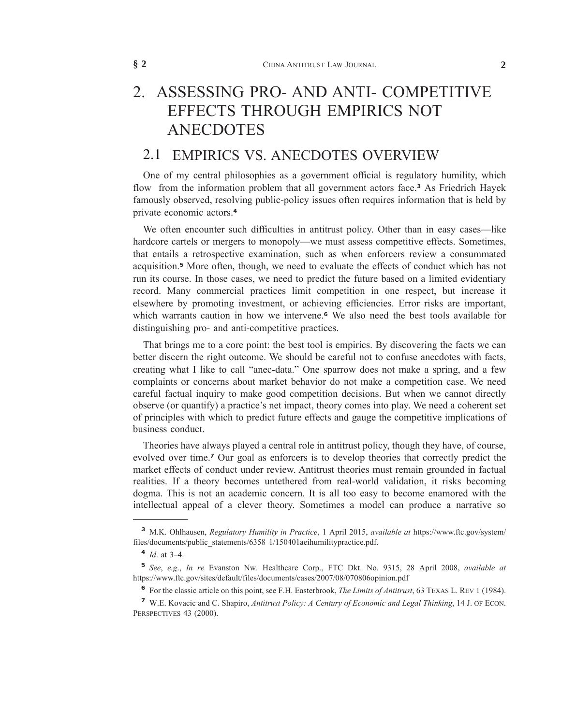# [2.](xpath-> core:desig,  198,  ,  ) ASSESSING PRO- AND [ANTI- COMPETITIVE](xpath-> core:title,  tr:secmain/core:title,  desig_title,  style_01) EFFECTS [THROUGH](xpath-> core:title,  tr:secmain/core:title,  desig_title,  style_01) EMPIRICS NOT [ANECDOTES](xpath-> core:title,  tr:secmain/core:title,  desig_title,  style_01)

### 2.1 EMPIRICS VS. [ANECDOTES](xpath-> core:title,  tr:secsub1/core:title,  desig_title,  style_01) OVERVIEW

One of my central [philosophies](xpath-> core:para,  Default,  para-list,  style_01) as a government official is regulatory humility, which flow from the information problem that all [government](xpath-> core:para,  Default,  para-list,  style_01) actors face.**<sup>3</sup>** As Friedrich Hayek famously observed, resolving [public-policy](xpath-> core:para,  Default,  para-list,  style_01) issues often requires information that is held by private [economic](xpath-> core:para,  Default,  para-list,  style_01) actors.**<sup>4</sup>**

We often encounter such difficulties in antitrust policy. Other than in easy [cases—like](xpath-> core:para,  Default,  para-list,  style_01) hardcore cartels or mergers to [monopoly—we](xpath-> core:para,  Default,  para-list,  style_01) must assess competitive effects. Sometimes, that entails a retrospective examination, such as when enforcers review a [consummated](xpath-> core:para,  Default,  para-list,  style_01) [acquisition.](xpath-> core:para,  Default,  para-list,  style_01)**<sup>5</sup>** More often, though, we need to evaluate the effects of conduct which has not run its course. In those cases, we need to predict the future based on a limited [evidentiary](xpath-> core:para,  Default,  para-list,  style_01) record. Many commercial practices limit [competition](xpath-> core:para,  Default,  para-list,  style_01) in one respect, but increase it elsewhere by promoting investment, or achieving [efficiencies.](xpath-> core:para,  Default,  para-list,  style_01) Error risks are important, which warrants caution in how we [intervene.](xpath-> core:para,  Default,  para-list,  style_01)**<sup>6</sup>** We also need the best tools available for distinguishing pro- and [anti-competitive](xpath-> core:para,  Default,  para-list,  style_01) practices.

That brings me to a core point: the best tool is empirics. By [discovering](xpath-> core:para,  Default,  para-list,  style_01) the facts we can better discern the right outcome. We should be careful not to confuse [anecdotes](xpath-> core:para,  Default,  para-list,  style_01) with facts, creating what I like to call ["anec-data."](xpath-> core:para,  Default,  para-list,  style_01) One sparrow does not make a spring, and a few complaints or concerns about market behavior do not make a [competition](xpath-> core:para,  Default,  para-list,  style_01) case. We need careful factual inquiry to make good [competition](xpath-> core:para,  Default,  para-list,  style_01) decisions. But when we cannot directly observe (or quantify) a [practice's](xpath-> core:para,  Default,  para-list,  style_01) net impact, theory comes into play. We need a coherent set of principles with which to predict future effects and gauge the competitive [implications](xpath-> core:para,  Default,  para-list,  style_01) of business [conduct.](xpath-> core:para,  Default,  para-list,  style_01)

[Theories](xpath-> core:para,  Default,  para-list,  style_01) have always played a central role in antitrust policy, though they have, of course, evolved over time.**<sup>7</sup>** Our goal as [enforcers](xpath-> core:para,  Default,  para-list,  style_01) is to develop theories that correctly predict the market effects of conduct under review. Antitrust theories must remain [grounded](xpath-> core:para,  Default,  para-list,  style_01) in factual realities. If a theory becomes untethered from real-world [validation,](xpath-> core:para,  Default,  para-list,  style_01) it risks becoming dogma. This is not an academic concern. It is all too easy to become [enamored](xpath-> core:para,  Default,  para-list,  style_01) with the intellectual appeal of a clever theory. [Sometimes](xpath-> core:para,  Default,  para-list,  style_01) a model can produce a narrative so

**<sup>3</sup>** M.K. [Ohlhausen,](xpath-> fn:para,  fn:footnote/fn:para,  footnote,  style_01) *Regulatory Humility in Practice*, 1 April 2015, *available at* [https://www.ftc.gov/system/](xpath-> core:url,  core:url,  endmatter,  style_01) [files/documents/public\\_statements/6358](xpath-> core:url,  core:url,  endmatter,  style_01) 1/150401aeihumilitypractice.pdf.

**<sup>4</sup>** *Id*. at [3–4.](xpath-> fn:para,  fn:footnote/fn:para,  footnote,  style_01)

**<sup>5</sup>** *See*, *e.g*., *In re* Evanston Nw. [Healthcare](xpath-> fn:para,  fn:footnote/fn:para,  footnote,  style_01) Corp., FTC Dkt. No. 9315, 28 April 2008, *available at* [https://www.ftc.gov/sites/default/files/documents/cases/2007/08/070806opinion.pdf](xpath-> core:url,  core:url,  endmatter,  style_01)

**<sup>6</sup>** For the classic article on this point, see F.H. [Easterbrook,](xpath-> fn:para,  fn:footnote/fn:para,  footnote,  style_01) *The Limits of Antitrust*, 63 TEXAS L. REV 1 (1984).

**<sup>7</sup>** W.E. Kovacic and C. Shapiro, *Antitrust Policy: A Century of [Economic](xpath-> fn:para,  fn:footnote/fn:para,  footnote,  style_01) and Legal Thinking*, 14 J. OF ECON. [PERSPECTIVES](xpath-> fn:para,  fn:footnote/fn:para,  footnote,  style_01) 43 (2000).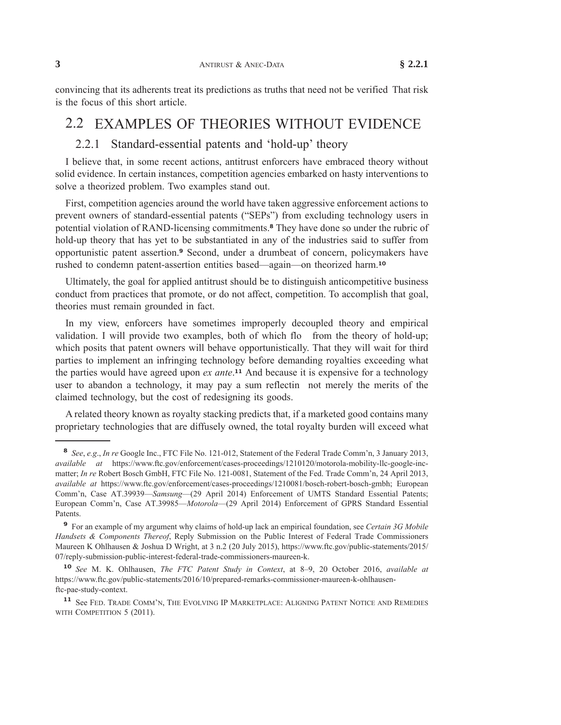convincing that its adherents treat its predictions as truths that need not be verified That risk is the focus of this short [article.](xpath-> core:para,  Default,  para-list,  style_01)

### 2.2 [EXAMPLES](xpath-> core:title,  tr:secsub1/core:title,  desig_title,  style_01) OF THEORIES WITHOUT EVIDENCE

#### [2.2.1](xpath-> core:desig,  tr:secsub2/core:desig,  desig_title,  style_01) [Standard-essential](xpath-> core:title,  tr:secsub2/core:title,  desig_title,  style_01) patents and 'hold-up' theory

I believe that, in some recent actions, antitrust enforcers have [embraced](xpath-> core:para,  Default,  para-list,  style_01) theory without solid evidence. In certain instances, competition agencies embarked on hasty [interventions](xpath-> core:para,  Default,  para-list,  style_01) to solve a theorized problem. Two [examples](xpath-> core:para,  Default,  para-list,  style_01) stand out.

First, competition agencies around the world have taken aggressive [enforcement](xpath-> core:para,  Default,  para-list,  style_01) actions to prevent owners of [standard-essential](xpath-> core:para,  Default,  para-list,  style_01) patents ("SEPs") from excluding technology users in potential violation of [RAND-licensing](xpath-> core:para,  Default,  para-list,  style_01) commitments.**<sup>8</sup>** They have done so under the rubric of hold-up theory that has yet to be [substantiated](xpath-> core:para,  Default,  para-list,  style_01) in any of the industries said to suffer from opportunistic patent assertion.**<sup>9</sup>** Second, under a drumbeat of concern, [policymakers](xpath-> core:para,  Default,  para-list,  style_01) have rushed to condemn patent-assertion entities [based—again—on](xpath-> core:para,  Default,  para-list,  style_01) theorized harm.**<sup>10</sup>**

Ultimately, the goal for applied antitrust should be to distinguish [anticompetitive](xpath-> core:para,  Default,  para-list,  style_01) business conduct from practices that promote, or do not affect, [competition.](xpath-> core:para,  Default,  para-list,  style_01) To accomplish that goal, theories must remain [grounded](xpath-> core:para,  Default,  para-list,  style_01) in fact.

In my view, enforcers have sometimes [improperly](xpath-> core:para,  Default,  para-list,  style_01) decoupled theory and empirical [validation.](xpath-> core:para,  Default,  para-list,  style_01) I will provide two examples, both of which flo from the theory of hold-up; which posits that patent owners will behave [opportunistically.](xpath-> core:para,  Default,  para-list,  style_01) That they will wait for third parties to implement an infringing technology before [demanding](xpath-> core:para,  Default,  para-list,  style_01) royalties exceeding what the parties would have agreed upon *ex ante*. **<sup>11</sup>** And because it is expensive for a [technology](xpath-> core:para,  Default,  para-list,  style_01) user to abandon a [technology,](xpath-> core:para,  Default,  para-list,  style_01) it may pay a sum reflectin not merely the merits of the claimed technology, but the cost of [redesigning](xpath-> core:para,  Default,  para-list,  style_01) its goods.

A related theory known as royalty stacking predicts that, if a [marketed](xpath-> core:para,  Default,  para-list,  style_01) good contains many proprietary [technologies](xpath-> core:para,  Default,  para-list,  style_01) that are diffusely owned, the total royalty burden will exceed what

**<sup>10</sup>** *See* M. K. [Ohlhausen,](xpath-> fn:para,  fn:footnote/fn:para,  footnote,  style_01) *The FTC Patent Study in Context*, at 8–9, 20 October 2016, *available at* [https://www.ftc.gov/public-statements/2016/10/prepared-remarks-commissioner-maureen-k-ohlhausen](xpath-> core:url,  core:url,  endmatter,  style_01)[ftc-pae-study-context.](xpath-> core:url,  core:url,  endmatter,  style_01)

**<sup>8</sup>** *See*, *e.g*., *In re* Google Inc., FTC File No. 121-012, [Statement](xpath-> fn:para,  fn:footnote/fn:para,  footnote,  style_01) of the Federal Trade Comm'n, 3 January 2013, *[available](xpath-> fn:para,  fn:footnote/fn:para,  footnote,  style_01) at* [https://www.ftc.gov/enforcement/cases-proceedings/1210120/motorola-mobility-llc-google-inc](xpath-> core:url,  core:url,  endmatter,  style_01)[matter;](xpath-> core:url,  core:url,  endmatter,  style_01) *In re* Robert Bosch GmbH, FTC File No. 121-0081, Statement of the Fed. Trade Comm'n, 24 April 2013, *available at* [https://www.ftc.gov/enforcement/cases-proceedings/1210081/bosch-robert-bosch-gmbh;](xpath-> core:url,  core:url,  endmatter,  style_01) European Comm'n, Case AT.39939—*Samsung*—(29 April 2014) Enforcement of UMTS Standard Essential Patents; European Comm'n, Case AT.39985—*Motorola*—(29 April 2014) Enforcement of GPRS Standard Essential Patents.

**<sup>9</sup>** For an example of my argument why claims of hold-up lack an empirical [foundation,](xpath-> fn:para,  fn:footnote/fn:para,  footnote,  style_01) see *Certain 3G Mobile Handsets & Components Thereof*, Reply Submission on the Public Interest of Federal Trade [Commissioners](xpath-> fn:para,  fn:footnote/fn:para,  footnote,  style_01) Maureen K [Ohlhausen](xpath-> fn:para,  fn:footnote/fn:para,  footnote,  style_01) & Joshua D Wright, at 3 n.2 (20 July 2015), [https://www.ftc.gov/public-statements/2015/](xpath-> core:url,  core:url,  endmatter,  style_01) [07/reply-submission-public-interest-federal-trade-commissioners-maureen-k.](xpath-> core:url,  core:url,  endmatter,  style_01)

**<sup>11</sup>** See FED. TRADE COMM'N, THE EVOLVING IP [MARKETPLACE:](xpath-> fn:para,  fn:footnote/fn:para,  footnote,  style_01) ALIGNING PATENT NOTICE AND REMEDIES WITH [COMPETITION](xpath-> fn:para,  fn:footnote/fn:para,  footnote,  style_01) 5 (2011).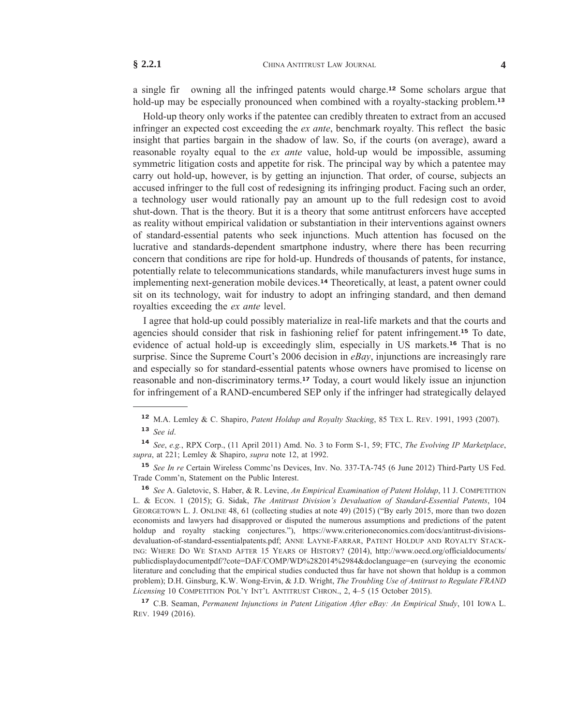a single fir owning all the infringed patents would charge.**<sup>12</sup>** Some scholars argue that hold-up may be especially pronounced when combined with a [royalty-stacking](xpath-> core:para,  Default,  para-list,  style_01) problem.**<sup>13</sup>**

[Hold-up](xpath-> core:para,  Default,  para-list,  style_01) theory only works if the patentee can credibly threaten to extract from an accused infringer an expected cost exceeding the *ex ante*, [benchmark](xpath-> core:para,  Default,  para-list,  style_01) royalty. This reflect the basic insight that parties bargain in the shadow of law. So, if the courts (on [average\),](xpath-> core:para,  Default,  para-list,  style_01) award a reasonable royalty equal to the *ex ante* value, hold-up would be [impossible,](xpath-> core:para,  Default,  para-list,  style_01) assuming [symmetric](xpath-> core:para,  Default,  para-list,  style_01) litigation costs and appetite for risk. The principal way by which a patentee may carry out hold-up, however, is by getting an [injunction.](xpath-> core:para,  Default,  para-list,  style_01) That order, of course, subjects an accused infringer to the full cost of [redesigning](xpath-> core:para,  Default,  para-list,  style_01) its infringing product. Facing such an order, a [technology](xpath-> core:para,  Default,  para-list,  style_01) user would rationally pay an amount up to the full redesign cost to avoid [shut-down.](xpath-> core:para,  Default,  para-list,  style_01) That is the theory. But it is a theory that some antitrust enforcers have accepted as reality without empirical validation or [substantiation](xpath-> core:para,  Default,  para-list,  style_01) in their interventions against owners of [standard-essential](xpath-> core:para,  Default,  para-list,  style_01) patents who seek injunctions. Much attention has focused on the lucrative and [standards-dependent](xpath-> core:para,  Default,  para-list,  style_01) smartphone industry, where there has been recurring concern that [conditions](xpath-> core:para,  Default,  para-list,  style_01) are ripe for hold-up. Hundreds of thousands of patents, for instance, potentially relate to [telecommunications](xpath-> core:para,  Default,  para-list,  style_01) standards, while manufacturers invest huge sums in implementing [next-generation](xpath-> core:para,  Default,  para-list,  style_01) mobile devices.**<sup>14</sup>** Theoretically, at least, a patent owner could sit on its [technology,](xpath-> core:para,  Default,  para-list,  style_01) wait for industry to adopt an infringing standard, and then demand royalties [exceeding](xpath-> core:para,  Default,  para-list,  style_01) the *ex ante* level.

I agree that hold-up could possibly [materialize](xpath-> core:para,  Default,  para-list,  style_01) in real-life markets and that the courts and agencies should consider that risk in fashioning relief for patent [infringement.](xpath-> core:para,  Default,  para-list,  style_01)**<sup>15</sup>** To date, evidence of actual hold-up is [exceedingly](xpath-> core:para,  Default,  para-list,  style_01) slim, especially in US markets.**<sup>16</sup>** That is no surprise. Since the Supreme Court's 2006 decision in *eBay*, injunctions are [increasingly](xpath-> core:para,  Default,  para-list,  style_01) rare and especially so for [standard-essential](xpath-> core:para,  Default,  para-list,  style_01) patents whose owners have promised to license on reasonable and [non-discriminatory](xpath-> core:para,  Default,  para-list,  style_01) terms.**<sup>17</sup>** Today, a court would likely issue an injunction for infringement of a [RAND-encumbered](xpath-> core:para,  Default,  para-list,  style_01) SEP only if the infringer had strategically delayed

**<sup>17</sup>** C.B. Seaman, *Permanent [Injunctions](xpath-> fn:para,  fn:footnote/fn:para,  footnote,  style_01) in Patent Litigation After eBay: An Empirical Study*, 101 IOWA L. REV. 1949 [\(2016\).](xpath-> fn:para,  fn:footnote/fn:para,  footnote,  style_01)

**<sup>12</sup>** M.A. Lemley & C. Shapiro, *Patent Holdup and Royalty [Stacking](xpath-> fn:para,  fn:footnote/fn:para,  footnote,  style_01)*, 85 TEX L. REV. 1991, 1993 (2007). **<sup>13</sup>** *[See](xpath-> fn:para,  fn:footnote/fn:para,  footnote,  style_01) id*.

**<sup>14</sup>** *See*, *e.g.*, RPX Corp., (11 April 2011) Amd. No. 3 to Form S-1, 59; FTC, *The Evolving IP [Marketplace](xpath-> fn:para,  fn:footnote/fn:para,  footnote,  style_01)*, *supra*, at 221; Lemley & [Shapiro,](xpath-> fn:para,  fn:footnote/fn:para,  footnote,  style_01) *supra* note 12, at 1992.

**<sup>15</sup>** *See In re* Certain Wireless Commc'ns Devices, Inv. No. [337-TA-745](xpath-> fn:para,  fn:footnote/fn:para,  footnote,  style_01) (6 June 2012) Third-Party US Fed. Trade Comm'n, [Statement](xpath-> fn:para,  fn:footnote/fn:para,  footnote,  style_01) on the Public Interest.

**<sup>16</sup>** *See* A. Galetovic, S. Haber, & R. Levine, *An Empirical Examination of Patent Holdup*, 11 J. [COMPETITION](xpath-> fn:para,  fn:footnote/fn:para,  footnote,  style_01) L. & ECON. 1 (2015); G. Sidak, *The Antitrust Division's Devaluation of [Standard-Essential](xpath-> fn:para,  fn:footnote/fn:para,  footnote,  style_01) Patents*, 104 [GEORGETOWN](xpath-> fn:para,  fn:footnote/fn:para,  footnote,  style_01) L. J. ONLINE 48, 61 (collecting studies at note 49) (2015) ("By early 2015, more than two dozen economists and lawyers had disapproved or disputed the numerous [assumptions](xpath-> fn:para,  fn:footnote/fn:para,  footnote,  style_01) and predictions of the patent holdup and royalty stacking [conjectures."\),](xpath-> fn:para,  fn:footnote/fn:para,  footnote,  style_01) [https://www.criterioneconomics.com/docs/antitrust-divisions](xpath-> core:url,  core:url,  endmatter,  style_01)[devaluation-of-standard-essentialpatents.pdf;](xpath-> core:url,  core:url,  endmatter,  style_01) ANNE LAYNE-FARRAR, PATENT HOLDUP AND ROYALTY STACK-ING: WHERE DO WE STAND AFTER 15 YEARS OF HISTORY? (2014), [http://www.oecd.org/officialdocuments/](xpath-> core:url,  core:url,  endmatter,  style_01) [publicdisplaydocumentpdf/?cote=DAF/COMP/WD%282014%2984&doclanguage=en](xpath-> core:url,  core:url,  endmatter,  style_01) (surveying the economic literature and concluding that the empirical studies conducted thus far have not shown that holdup is a common problem); D.H. Ginsburg, K.W. Wong-Ervin, & J.D. Wright, *The Troubling Use of Antitrust to Regulate FRAND Licensing* 10 COMPETITION POL'Y INT'L ANTITRUST CHRON., 2, 4–5 (15 October 2015).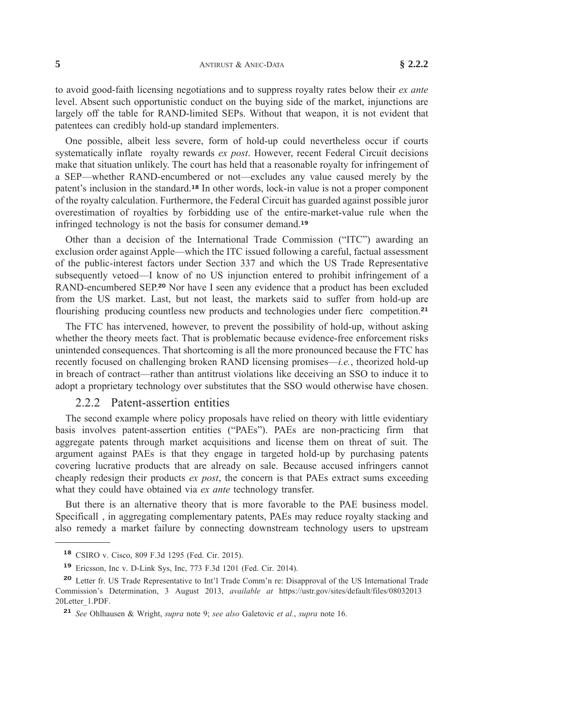**5** ANTIRUST & ANEC-DATA **§ 2.2.2**

to avoid good-faith licensing negotiations and to suppress royalty rates below their *ex ante* level. Absent such opportunistic conduct on the buying side of the market, injunctions are largely off the table for RAND-limited SEPs. Without that weapon, it is not evident that patentees can credibly hold-up standard [implementers.](xpath-> core:para,  Default,  para-list,  style_01)

One possible, albeit less severe, form of hold-up could [nevertheless](xpath-> core:para,  Default,  para-list,  style_01) occur if courts [systematically](xpath-> core:para,  Default,  para-list,  style_01) inflate royalty rewards *ex post*. However, recent Federal Circuit decisions make that situation unlikely. The court has held that a reasonable royalty for [infringement](xpath-> core:para,  Default,  para-list,  style_01) of a SEP—whether [RAND-encumbered](xpath-> core:para,  Default,  para-list,  style_01) or not—excludes any value caused merely by the patent's inclusion in the standard.**<sup>18</sup>** In other words, lock-in value is not a proper [component](xpath-> core:para,  Default,  para-list,  style_01) of the royalty calculation. [Furthermore,](xpath-> core:para,  Default,  para-list,  style_01) the Federal Circuit has guarded against possible juror overestimation of royalties by forbidding use of the [entire-market-value](xpath-> core:para,  Default,  para-list,  style_01) rule when the infringed [technology](xpath-> core:para,  Default,  para-list,  style_01) is not the basis for consumer demand.**<sup>19</sup>**

Other than a decision of the [International](xpath-> core:para,  Default,  para-list,  style_01) Trade Commission ("ITC") awarding an exclusion order against [Apple—which](xpath-> core:para,  Default,  para-list,  style_01) the ITC issued following a careful, factual assessment of the public-interest factors under Section 337 and which the US Trade [Representative](xpath-> core:para,  Default,  para-list,  style_01) [subsequently](xpath-> core:para,  Default,  para-list,  style_01) vetoed—I know of no US injunction entered to prohibit infringement of a [RAND-encumbered](xpath-> core:para,  Default,  para-list,  style_01) SEP.**<sup>20</sup>** Nor have I seen any evidence that a product has been excluded from the US market. Last, but not least, the [markets](xpath-> core:para,  Default,  para-list,  style_01) said to suffer from hold-up are flourishing producing countless new products and [technologies](xpath-> core:para,  Default,  para-list,  style_01) under fierc competition.**<sup>21</sup>**

The FTC has [intervened,](xpath-> core:para,  Default,  para-list,  style_01) however, to prevent the possibility of hold-up, without asking whether the theory meets fact. That is problematic because [evidence-free](xpath-> core:para,  Default,  para-list,  style_01) enforcement risks unintended [consequences.](xpath-> core:para,  Default,  para-list,  style_01) That shortcoming is all the more pronounced because the FTC has recently focused on [challenging](xpath-> core:para,  Default,  para-list,  style_01) broken RAND licensing promises—*i.e.*, theorized hold-up in breach of [contract—rather](xpath-> core:para,  Default,  para-list,  style_01) than antitrust violations like deceiving an SSO to induce it to adopt a proprietary [technology](xpath-> core:para,  Default,  para-list,  style_01) over substitutes that the SSO would otherwise have chosen.

#### [2.2.2](xpath-> core:desig,  tr:secsub2/core:desig,  desig_title,  style_01) [Patent-assertion](xpath-> core:title,  tr:secsub2/core:title,  desig_title,  style_01) entities

The second example where policy proposals have relied on theory with little [evidentiary](xpath-> core:para,  Default,  para-list,  style_01) basis involves [patent-assertion](xpath-> core:para,  Default,  para-list,  style_01) entities ("PAEs"). PAEs are non-practicing firm that aggregate patents through market [acquisitions](xpath-> core:para,  Default,  para-list,  style_01) and license them on threat of suit. The argument against PAEs is that they engage in targeted hold-up by [purchasing](xpath-> core:para,  Default,  para-list,  style_01) patents covering lucrative products that are already on sale. Because accused [infringers](xpath-> core:para,  Default,  para-list,  style_01) cannot cheaply redesign their products *ex post*, the concern is that PAEs extract sums [exceeding](xpath-> core:para,  Default,  para-list,  style_01) what they could have obtained via *ex ante* [technology](xpath-> core:para,  Default,  para-list,  style_01) transfer.

But there is an [alternative](xpath-> core:para,  Default,  para-list,  style_01) theory that is more favorable to the PAE business model. Specificall , in aggregating [complementary](xpath-> core:para,  Default,  para-list,  style_01) patents, PAEs may reduce royalty stacking and also remedy a market failure by connecting [downstream](xpath-> core:para,  Default,  para-list,  style_01) technology users to upstream

**<sup>18</sup>** [CSIRO](xpath-> fn:para,  fn:footnote/fn:para,  footnote,  style_01) v. Cisco, 809 F.3d 1295 (Fed. Cir. 2015).

**<sup>19</sup>** [Ericsson,](xpath-> fn:para,  fn:footnote/fn:para,  footnote,  style_01) Inc v. D-Link Sys, Inc, 773 F.3d 1201 (Fed. Cir. 2014).

**<sup>20</sup>** Letter fr. US Trade [Representative](xpath-> fn:para,  fn:footnote/fn:para,  footnote,  style_01) to Int'l Trade Comm'n re: Disapproval of the US International Trade Commission's [Determination,](xpath-> fn:para,  fn:footnote/fn:para,  footnote,  style_01) 3 August 2013, *available at* [https://ustr.gov/sites/default/files/08032013](xpath-> core:url,  core:url,  endmatter,  style_01) [20Letter\\_1.PDF.](xpath-> core:url,  core:url,  endmatter,  style_01)

**<sup>21</sup>** *See* [Ohlhausen](xpath-> fn:para,  fn:footnote/fn:para,  footnote,  style_01) & Wright, *supra* note 9; *see also* Galetovic *et al.*, *supra* note 16.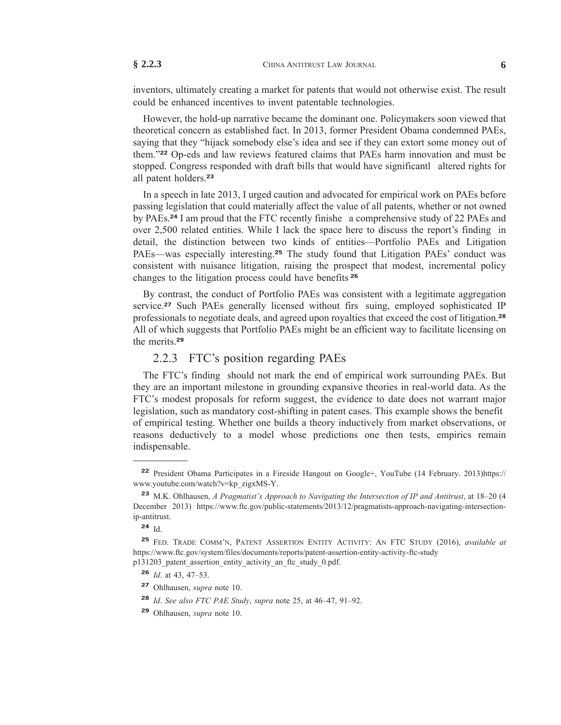inventors, ultimately creating a market for patents that would not otherwise exist. The result could be enhanced incentives to invent patentable [technologies.](xpath-> core:para,  Default,  para-list,  style_01)

However, the hold-up narrative became the dominant one. [Policymakers](xpath-> core:para,  Default,  para-list,  style_01) soon viewed that theoretical concern as established fact. In 2013, former President Obama [condemned](xpath-> core:para,  Default,  para-list,  style_01) PAEs, saying that they "hijack [somebody](xpath-> core:para,  Default,  para-list,  style_01) else's idea and see if they can extort some money out of them."**<sup>22</sup>** Op-eds and law reviews featured claims that PAEs harm [innovation](xpath-> core:para,  Default,  para-list,  style_01) and must be stopped. Congress responded with draft bills that would have [significantl](xpath-> core:para,  Default,  para-list,  style_01) altered rights for all patent [holders.](xpath-> core:para,  Default,  para-list,  style_01)**<sup>23</sup>**

In a speech in late 2013, I urged caution and [advocated](xpath-> core:para,  Default,  para-list,  style_01) for empirical work on PAEs before passing [legislation](xpath-> core:para,  Default,  para-list,  style_01) that could materially affect the value of all patents, whether or not owned by PAEs.**<sup>24</sup>** I am proud that the FTC recently finishe a [comprehensive](xpath-> core:para,  Default,  para-list,  style_01) study of 22 PAEs and over 2,500 related [entities.](xpath-> core:para,  Default,  para-list,  style_01) While I lack the space here to discuss the report's finding in detail, the distinction between two kinds of [entities—Portfolio](xpath-> core:para,  Default,  para-list,  style_01) PAEs and Litigation [PAEs—was](xpath-> core:para,  Default,  para-list,  style_01) especially interesting.**<sup>25</sup>** The study found that Litigation PAEs' conduct was consistent with nuisance litigation, raising the prospect that modest, [incremental](xpath-> core:para,  Default,  para-list,  style_01) policy changes to the [litigation](xpath-> core:para,  Default,  para-list,  style_01) process could have benefits **<sup>26</sup>**

By contrast, the conduct of Portfolio PAEs was consistent with a legitimate [aggregation](xpath-> core:para,  Default,  para-list,  style_01) service.**<sup>27</sup>** Such PAEs generally licensed without firs suing, employed [sophisticated](xpath-> core:para,  Default,  para-list,  style_01) IP [professionals](xpath-> core:para,  Default,  para-list,  style_01) to negotiate deals, and agreed upon royalties that exceed the cost of litigation.**<sup>28</sup>** All of which suggests that Portfolio PAEs might be an efficient way to facilitate [licensing](xpath-> core:para,  Default,  para-list,  style_01) on the [merits.](xpath-> core:para,  Default,  para-list,  style_01)**<sup>29</sup>**

#### [2.2.3](xpath-> core:desig,  tr:secsub2/core:desig,  desig_title,  style_01) FTC's position [regarding](xpath-> core:title,  tr:secsub2/core:title,  desig_title,  style_01) PAEs

The FTC's finding should not mark the end of empirical work [surrounding](xpath-> core:para,  Default,  para-list,  style_01) PAEs. But they are an important milestone in grounding expansive theories in [real-world](xpath-> core:para,  Default,  para-list,  style_01) data. As the FTC's modest [proposals](xpath-> core:para,  Default,  para-list,  style_01) for reform suggest, the evidence to date does not warrant major legislation, such as mandatory [cost-shifting](xpath-> core:para,  Default,  para-list,  style_01) in patent cases. This example shows the benefit of empirical testing. Whether one builds a theory inductively from market [observations,](xpath-> core:para,  Default,  para-list,  style_01) or reasons [deductively](xpath-> core:para,  Default,  para-list,  style_01) to a model whose predictions one then tests, empirics remain [indispensable.](xpath-> core:para,  Default,  para-list,  style_01)

**<sup>22</sup>** President Obama [Participates](xpath-> fn:para,  fn:footnote/fn:para,  footnote,  style_01) in a Fireside Hangout on Google+, YouTube (14 February. 2013[\)https://](xpath-> core:url,  core:url,  endmatter,  style_01) [www.youtube.com/watch?v=kp\\_zigxMS-Y.](xpath-> core:url,  core:url,  endmatter,  style_01)

**<sup>23</sup>** M.K. Ohlhausen, *A [Pragmatist's](xpath-> fn:para,  fn:footnote/fn:para,  footnote,  style_01) Approach to Navigating the Intersection of IP and Antitrust*, at 18–20 (4 [December](xpath-> fn:para,  fn:footnote/fn:para,  footnote,  style_01) 2013) [https://www.ftc.gov/public-statements/2013/12/pragmatists-approach-navigating-intersection](xpath-> core:url,  core:url,  endmatter,  style_01)[ip-antitrust.](xpath-> core:url,  core:url,  endmatter,  style_01)

**<sup>24</sup>** [Id.](xpath-> fn:para,  fn:footnote/fn:para,  footnote,  style_01)

**<sup>25</sup>** FED. TRADE COMM'N, PATENT [ASSERTION](xpath-> fn:para,  fn:footnote/fn:para,  footnote,  style_01) ENTITY ACTIVITY: AN FTC STUDY (2016), *available at* [https://www.ftc.gov/system/files/documents/reports/patent-assertion-entity-activity-ftc-study](xpath-> core:url,  core:url,  endmatter,  style_01) [p131203\\_patent\\_assertion\\_entity\\_activity\\_an\\_ftc\\_study\\_0.pdf.](xpath-> core:url,  core:url,  endmatter,  style_01)

**<sup>26</sup>** *Id*. at 43, [47–53.](xpath-> fn:para,  fn:footnote/fn:para,  footnote,  style_01)

**<sup>27</sup>** [Ohlhausen,](xpath-> fn:para,  fn:footnote/fn:para,  footnote,  style_01) *supra* note 10.

**<sup>28</sup>** *Id*. *See also FTC PAE Study*, *supra* note 25, at [46–47,](xpath-> fn:para,  fn:footnote/fn:para,  footnote,  style_01) 91–92.

**<sup>29</sup>** [Ohlhausen,](xpath-> fn:para,  fn:footnote/fn:para,  footnote,  style_01) *supra* note 10.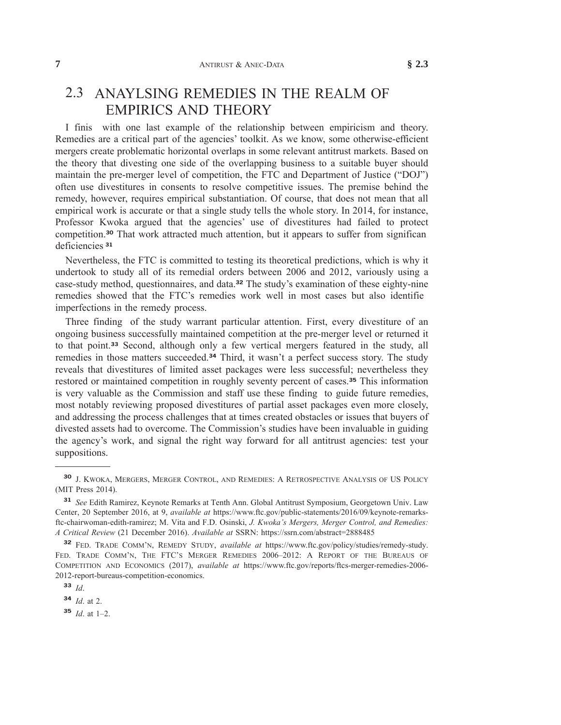### 2.3 [ANAYLSING](xpath-> core:title,  tr:secsub1/core:title,  desig_title,  style_01) REMEDIES IN THE REALM OF [EMPIRICS](xpath-> core:title,  tr:secsub1/core:title,  desig_title,  style_01) AND THEORY

I finis with one last example of the [relationship](xpath-> core:para,  Default,  para-list,  style_01) between empiricism and theory. Remedies are a critical part of the agencies' toolkit. As we know, some [otherwise-efficient](xpath-> core:para,  Default,  para-list,  style_01) mergers create [problematic](xpath-> core:para,  Default,  para-list,  style_01) horizontal overlaps in some relevant antitrust markets. Based on the theory that divesting one side of the [overlapping](xpath-> core:para,  Default,  para-list,  style_01) business to a suitable buyer should maintain the pre-merger level of [competition,](xpath-> core:para,  Default,  para-list,  style_01) the FTC and Department of Justice ("DOJ") often use divestitures in consents to resolve [competitive](xpath-> core:para,  Default,  para-list,  style_01) issues. The premise behind the remedy, however, requires empirical [substantiation.](xpath-> core:para,  Default,  para-list,  style_01) Of course, that does not mean that all [empirical](xpath-> core:para,  Default,  para-list,  style_01) work is accurate or that a single study tells the whole story. In 2014, for instance, Professor Kwoka argued that the agencies' use of [divestitures](xpath-> core:para,  Default,  para-list,  style_01) had failed to protect [competition.](xpath-> core:para,  Default,  para-list,  style_01)**<sup>30</sup>** That work attracted much attention, but it appears to suffer from significan [deficiencies](xpath-> core:para,  Default,  para-list,  style_01) **<sup>31</sup>**

[Nevertheless,](xpath-> core:para,  Default,  para-list,  style_01) the FTC is committed to testing its theoretical predictions, which is why it [undertook](xpath-> core:para,  Default,  para-list,  style_01) to study all of its remedial orders between 2006 and 2012, variously using a case-study method, [questionnaires,](xpath-> core:para,  Default,  para-list,  style_01) and data.**<sup>32</sup>** The study's examination of these eighty-nine [remedies](xpath-> core:para,  Default,  para-list,  style_01) showed that the FTC's remedies work well in most cases but also identifie [imperfections](xpath-> core:para,  Default,  para-list,  style_01) in the remedy process.

Three finding of the study warrant particular attention. First, every [divestiture](xpath-> core:para,  Default,  para-list,  style_01) of an ongoing business [successfully](xpath-> core:para,  Default,  para-list,  style_01) maintained competition at the pre-merger level or returned it to that point.**<sup>33</sup>** Second, [although](xpath-> core:para,  Default,  para-list,  style_01) only a few vertical mergers featured in the study, all remedies in those matters [succeeded.](xpath-> core:para,  Default,  para-list,  style_01)**<sup>34</sup>** Third, it wasn't a perfect success story. The study reveals that divestitures of limited asset packages were less successful; [nevertheless](xpath-> core:para,  Default,  para-list,  style_01) they restored or maintained [competition](xpath-> core:para,  Default,  para-list,  style_01) in roughly seventy percent of cases.**<sup>35</sup>** This information is very valuable as the [Commission](xpath-> core:para,  Default,  para-list,  style_01) and staff use these finding to guide future remedies, most notably reviewing proposed [divestitures](xpath-> core:para,  Default,  para-list,  style_01) of partial asset packages even more closely, and [addressing](xpath-> core:para,  Default,  para-list,  style_01) the process challenges that at times created obstacles or issues that buyers of divested assets had to overcome. The [Commission's](xpath-> core:para,  Default,  para-list,  style_01) studies have been invaluable in guiding the agency's work, and signal the right way forward for all antitrust [agencies:](xpath-> core:para,  Default,  para-list,  style_01) test your [suppositions.](xpath-> core:para,  Default,  para-list,  style_01)

**<sup>30</sup>** J. KWOKA, MERGERS, MERGER CONTROL, AND REMEDIES: A [RETROSPECTIVE](xpath-> fn:para,  fn:footnote/fn:para,  footnote,  style_01) ANALYSIS OF US POLICY (MIT Press [2014\).](xpath-> fn:para,  fn:footnote/fn:para,  footnote,  style_01)

**<sup>31</sup>** *See* Edith Ramirez, Keynote Remarks at Tenth Ann. Global Antitrust [Symposium,](xpath-> fn:para,  fn:footnote/fn:para,  footnote,  style_01) Georgetown Univ. Law Center, 20 [September](xpath-> fn:para,  fn:footnote/fn:para,  footnote,  style_01) 2016, at 9, *available at* [https://www.ftc.gov/public-statements/2016/09/keynote-remarks](xpath-> core:url,  core:url,  endmatter,  style_01)[ftc-chairwoman-edith-ramirez;](xpath-> core:url,  core:url,  endmatter,  style_01) M. Vita and F.D. Osinski, *J. Kwoka's Mergers, Merger Control, and Remedies: A Critical Review* (21 December 2016). *Available at* SSRN: [https://ssrn.com/abstract=2888485](xpath-> core:url,  core:url,  endmatter,  style_01)

**<sup>32</sup>** FED. TRADE [COMM'N,](xpath-> fn:para,  fn:footnote/fn:para,  footnote,  style_01) REMEDY STUDY, *available at* [https://www.ftc.gov/policy/studies/remedy-study.](xpath-> core:url,  core:url,  endmatter,  style_01) FED. TRADE COMM'N, THE FTC'S MERGER REMEDIES 2006–2012: A REPORT OF THE BUREAUS OF COMPETITION AND ECONOMICS (2017), *available at* [https://www.ftc.gov/reports/ftcs-merger-remedies-2006-](xpath-> core:url,  core:url,  endmatter,  style_01) [2012-report-bureaus-competition-economics.](xpath-> core:url,  core:url,  endmatter,  style_01)

**<sup>33</sup>** *[Id](xpath-> fn:para,  fn:footnote/fn:para,  footnote,  style_01)*.

**<sup>34</sup>** *[Id](xpath-> fn:para,  fn:footnote/fn:para,  footnote,  style_01)*. at 2.

**<sup>35</sup>** *Id*. at [1–2.](xpath-> fn:para,  fn:footnote/fn:para,  footnote,  style_01)